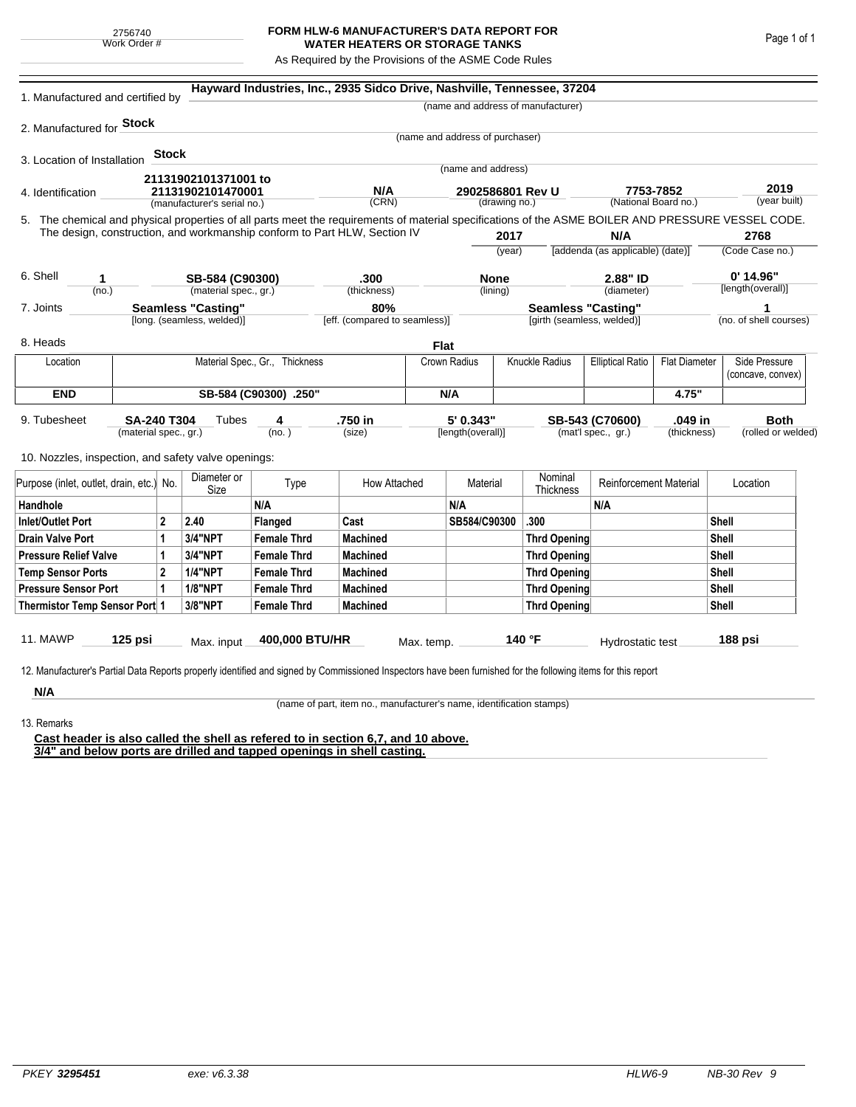| 2756740 |              |  |  |  |  |  |  |
|---------|--------------|--|--|--|--|--|--|
|         | Work Order # |  |  |  |  |  |  |

## **FORM HLW-6 MANUFACTURER'S DATA REPORT FOR WATER HEATERS OR STORAGE TANKS**

As Required by the Provisions of the ASME Code Rules

| 1. Manufactured and certified by                                                                                                                                                                                                        |                                                  |                |                            |                       | Hayward Industries, Inc., 2935 Sidco Drive, Nashville, Tennessee, 37204 |                               |                                                                 |                     |                                    |                                   |                                   |                        |                                    |
|-----------------------------------------------------------------------------------------------------------------------------------------------------------------------------------------------------------------------------------------|--------------------------------------------------|----------------|----------------------------|-----------------------|-------------------------------------------------------------------------|-------------------------------|-----------------------------------------------------------------|---------------------|------------------------------------|-----------------------------------|-----------------------------------|------------------------|------------------------------------|
|                                                                                                                                                                                                                                         |                                                  |                |                            |                       |                                                                         |                               |                                                                 |                     | (name and address of manufacturer) |                                   |                                   |                        |                                    |
| 2. Manufactured for <b>Stock</b>                                                                                                                                                                                                        |                                                  |                |                            |                       |                                                                         |                               |                                                                 |                     |                                    |                                   |                                   |                        |                                    |
|                                                                                                                                                                                                                                         |                                                  |                |                            |                       |                                                                         |                               | (name and address of purchaser)                                 |                     |                                    |                                   |                                   |                        |                                    |
| 3. Location of Installation                                                                                                                                                                                                             |                                                  | <b>Stock</b>   |                            |                       |                                                                         |                               | (name and address)                                              |                     |                                    |                                   |                                   |                        |                                    |
|                                                                                                                                                                                                                                         |                                                  |                | 21131902101371001 to       |                       |                                                                         |                               |                                                                 |                     |                                    |                                   |                                   |                        |                                    |
| 4. Identification                                                                                                                                                                                                                       | 21131902101470001<br>(manufacturer's serial no.) |                |                            | (CRN)                 | N/A<br>2902586801 Rev U<br>(drawing no.)                                |                               |                                                                 |                     |                                    | 7753-7852<br>(National Board no.) |                                   | 2019<br>(year built)   |                                    |
|                                                                                                                                                                                                                                         |                                                  |                |                            |                       |                                                                         |                               |                                                                 |                     |                                    |                                   |                                   |                        |                                    |
| 5. The chemical and physical properties of all parts meet the requirements of material specifications of the ASME BOILER AND PRESSURE VESSEL CODE.<br>The design, construction, and workmanship conform to Part HLW, Section IV<br>2017 |                                                  |                |                            |                       | N/A                                                                     |                               |                                                                 | 2768                |                                    |                                   |                                   |                        |                                    |
|                                                                                                                                                                                                                                         |                                                  |                |                            |                       |                                                                         |                               |                                                                 | (year)              |                                    | [addenda (as applicable) (date)]  |                                   |                        | (Code Case no.)                    |
| 6. Shell<br>SB-584 (C90300)<br>1                                                                                                                                                                                                        |                                                  |                |                            | .300                  | <b>None</b>                                                             |                               |                                                                 | 2.88" ID            |                                    |                                   | $0'$ 14.96"                       |                        |                                    |
| (no.)                                                                                                                                                                                                                                   |                                                  |                | (material spec., gr.)      |                       | (thickness)                                                             |                               |                                                                 | (lining)            |                                    | (diameter)                        |                                   | [length(overall)]      |                                    |
| 7. Joints                                                                                                                                                                                                                               | <b>Seamless "Casting"</b>                        |                |                            |                       | 80%                                                                     |                               |                                                                 |                     | <b>Seamless "Casting"</b>          |                                   |                                   |                        |                                    |
|                                                                                                                                                                                                                                         |                                                  |                | [long. (seamless, welded)] |                       |                                                                         | [eff. (compared to seamless)] |                                                                 |                     | [girth (seamless, welded)]         |                                   |                                   | (no. of shell courses) |                                    |
| 8. Heads                                                                                                                                                                                                                                |                                                  |                |                            |                       |                                                                         |                               | Flat                                                            |                     |                                    |                                   |                                   |                        |                                    |
| Location                                                                                                                                                                                                                                | Material Spec., Gr., Thickness                   |                |                            |                       | Crown Radius                                                            |                               |                                                                 |                     | <b>Knuckle Radius</b>              | <b>Elliptical Ratio</b>           | <b>Flat Diameter</b>              |                        | Side Pressure<br>(concave, convex) |
| <b>END</b>                                                                                                                                                                                                                              |                                                  |                |                            | SB-584 (C90300) .250" |                                                                         | N/A                           |                                                                 |                     |                                    |                                   | 4.75"                             |                        |                                    |
| 9. Tubesheet<br>SA-240 T304<br>Tubes<br>4<br>(material spec., gr.)<br>(no. )                                                                                                                                                            |                                                  |                |                            | .750 in<br>(size)     | 5' 0.343"<br>[length(overall)]                                          |                               | SB-543 (C70600)<br>.049 in<br>(mat'l spec., gr.)<br>(thickness) |                     |                                    |                                   | <b>Both</b><br>(rolled or welded) |                        |                                    |
| 10. Nozzles, inspection, and safety valve openings:                                                                                                                                                                                     |                                                  |                |                            |                       |                                                                         |                               |                                                                 |                     |                                    |                                   |                                   |                        |                                    |
| Purpose (inlet, outlet, drain, etc.) No.                                                                                                                                                                                                |                                                  |                | Diameter or<br>Size        | Type                  | How Attached                                                            |                               | Material                                                        |                     | Nominal<br><b>Thickness</b>        | <b>Reinforcement Material</b>     |                                   |                        | Location                           |
| Handhole                                                                                                                                                                                                                                |                                                  |                |                            | N/A                   |                                                                         |                               | N/A                                                             |                     | N/A                                |                                   |                                   |                        |                                    |
| <b>Inlet/Outlet Port</b>                                                                                                                                                                                                                |                                                  | $\overline{2}$ | 2.40                       | Flanged               | Cast                                                                    |                               | SB584/C90300                                                    |                     | .300                               |                                   |                                   | Shell                  |                                    |
| <b>Drain Valve Port</b>                                                                                                                                                                                                                 |                                                  | 1              | 3/4"NPT                    | <b>Female Thrd</b>    | <b>Machined</b>                                                         |                               |                                                                 | <b>Thrd Opening</b> |                                    |                                   |                                   | Shell                  |                                    |
| <b>Pressure Relief Valve</b>                                                                                                                                                                                                            |                                                  | 1              | 3/4"NPT                    | <b>Female Thrd</b>    | <b>Machined</b>                                                         |                               |                                                                 |                     | <b>Thrd Opening</b>                |                                   |                                   | Shell                  |                                    |
| <b>Temp Sensor Ports</b>                                                                                                                                                                                                                |                                                  | $\overline{2}$ | <b>1/4"NPT</b>             | <b>Female Thrd</b>    | <b>Machined</b>                                                         |                               |                                                                 |                     | Thrd Opening                       |                                   | Shell                             |                        |                                    |
| <b>Pressure Sensor Port</b>                                                                                                                                                                                                             |                                                  | 1              | <b>1/8"NPT</b>             | <b>Female Thrd</b>    | <b>Machined</b>                                                         |                               |                                                                 |                     | Thrd Opening                       |                                   | Shell                             |                        |                                    |
| Thermistor Temp Sensor Port 1                                                                                                                                                                                                           |                                                  |                | 3/8"NPT                    | <b>Female Thrd</b>    | <b>Machined</b>                                                         |                               |                                                                 |                     | Thrd Opening                       |                                   |                                   | Shell                  |                                    |
| 11. MAWP<br>125 psi                                                                                                                                                                                                                     |                                                  |                | Max. input                 | 400,000 BTU/HR        |                                                                         | Max. temp.                    |                                                                 |                     | 140 °F                             | Hydrostatic test                  |                                   |                        | 188 psi                            |
| 12. Manufacturer's Partial Data Reports properly identified and signed by Commissioned Inspectors have been furnished for the following items for this report                                                                           |                                                  |                |                            |                       |                                                                         |                               |                                                                 |                     |                                    |                                   |                                   |                        |                                    |
| N/A                                                                                                                                                                                                                                     |                                                  |                |                            |                       |                                                                         |                               |                                                                 |                     |                                    |                                   |                                   |                        |                                    |

(name of part, item no., manufacturer's name, identification stamps)

13. Remarks

**Cast header is also called the shell as refered to in section 6,7, and 10 above. 3/4" and below ports are drilled and tapped openings in shell casting.**